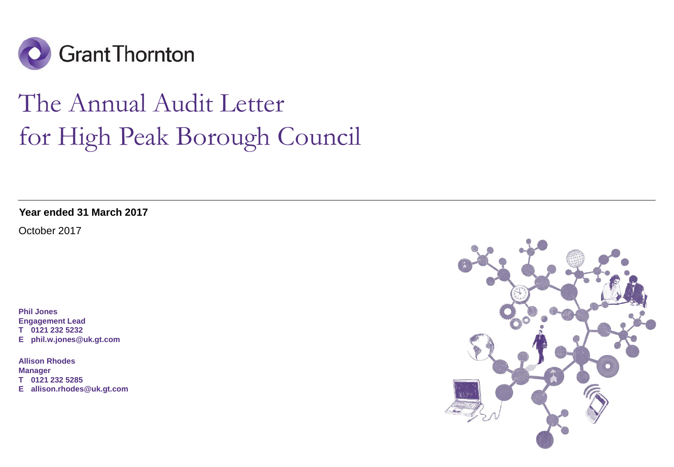

# The Annual Audit Letter for High Peak Borough Council

**Year ended 31 March 2017**

October 2017

**Phil Jones Engagement Lead T 0121 232 5232 E phil.w.jones@uk.gt.com**

**Allison Rhodes Manager T 0121 232 5285 E allison.rhodes@uk.gt.com**

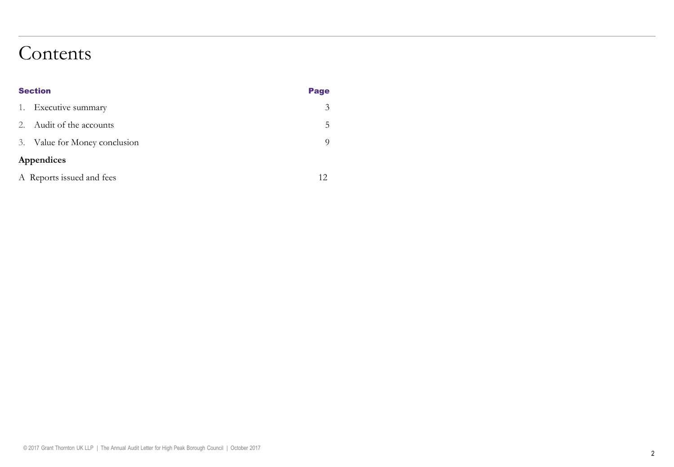## Contents

| <b>Section</b>                  |   |
|---------------------------------|---|
| Executive summary<br>1.         | 3 |
| Audit of the accounts<br>2.     | 5 |
| 3. Value for Money conclusion   | 9 |
| Appendices                      |   |
| A Reports issued and fees<br>12 |   |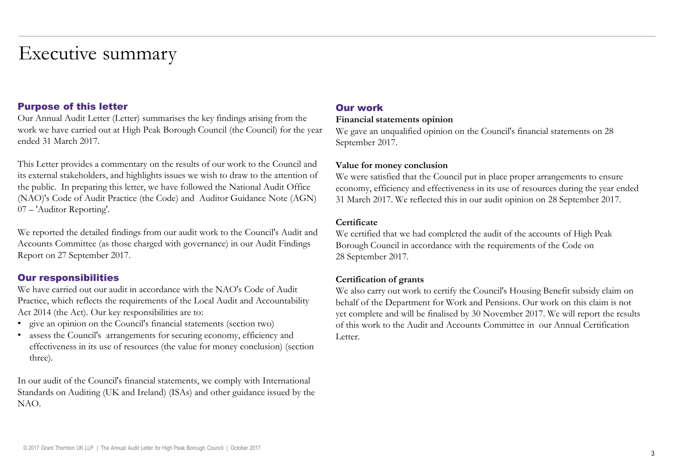## Executive summary

### Purpose of this letter

Our Annual Audit Letter (Letter) summarises the key findings arising from the work we have carried out at High Peak Borough Council (the Council) for the year ended 31 March 2017.

This Letter provides a commentary on the results of our work to the Council and its external stakeholders, and highlights issues we wish to draw to the attention of the public. In preparing this letter, we have followed the National Audit Office (NAO)'s Code of Audit Practice (the Code) and Auditor Guidance Note (AGN) 07 – 'Auditor Reporting'.

We reported the detailed findings from our audit work to the Council's Audit and Accounts Committee (as those charged with governance) in our Audit Findings Report on 27 September 2017.

#### Our responsibilities

We have carried out our audit in accordance with the NAO's Code of Audit Practice, which reflects the requirements of the Local Audit and Accountability Act 2014 (the Act). Our key responsibilities are to:

- give an opinion on the Council's financial statements (section two)
- assess the Council's arrangements for securing economy, efficiency and effectiveness in its use of resources (the value for money conclusion) (section three).

In our audit of the Council's financial statements, we comply with International Standards on Auditing (UK and Ireland) (ISAs) and other guidance issued by the NAO.

#### Our work

#### **Financial statements opinion**

We gave an unqualified opinion on the Council's financial statements on 28 September 2017.

#### **Value for money conclusion**

We were satisfied that the Council put in place proper arrangements to ensure economy, efficiency and effectiveness in its use of resources during the year ended 31 March 2017. We reflected this in our audit opinion on 28 September 2017.

#### **Certificate**

We certified that we had completed the audit of the accounts of High Peak Borough Council in accordance with the requirements of the Code on 28 September 2017.

#### **Certification of grants**

We also carry out work to certify the Council's Housing Benefit subsidy claim on behalf of the Department for Work and Pensions. Our work on this claim is not yet complete and will be finalised by 30 November 2017. We will report the results of this work to the Audit and Accounts Committee in our Annual Certification Letter.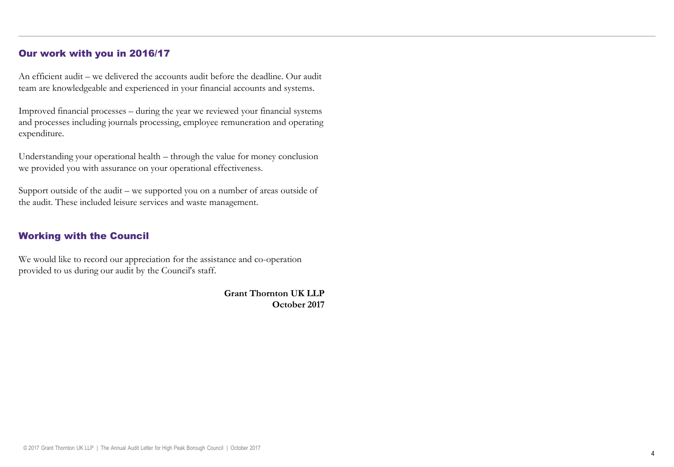### Our work with you in 2016/17

An efficient audit – we delivered the accounts audit before the deadline. Our audit team are knowledgeable and experienced in your financial accounts and systems.

Improved financial processes – during the year we reviewed your financial systems and processes including journals processing, employee remuneration and operating expenditure.

Understanding your operational health – through the value for money conclusion we provided you with assurance on your operational effectiveness.

Support outside of the audit – we supported you on a number of areas outside of the audit. These included leisure services and waste management.

### Working with the Council

We would like to record our appreciation for the assistance and co-operation provided to us during our audit by the Council's staff.

> **Grant Thornton UK LLP October 2017**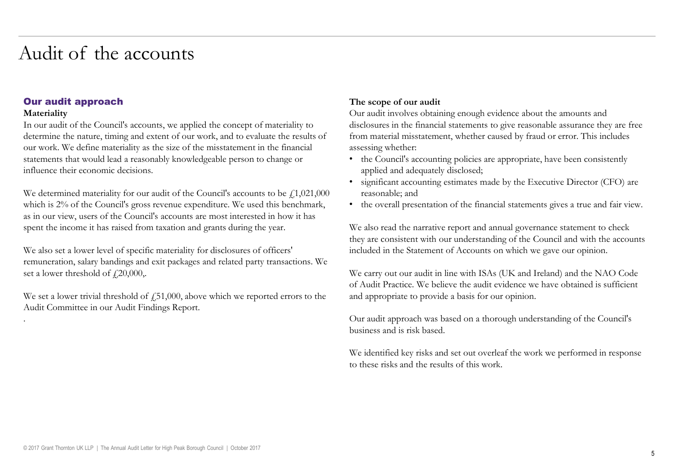### Our audit approach

#### **Materiality**

.

In our audit of the Council's accounts, we applied the concept of materiality to determine the nature, timing and extent of our work, and to evaluate the results of our work. We define materiality as the size of the misstatement in the financial statements that would lead a reasonably knowledgeable person to change or influence their economic decisions.

We determined materiality for our audit of the Council's accounts to be  $f<sub>1</sub>1,021,000$ which is 2% of the Council's gross revenue expenditure. We used this benchmark, as in our view, users of the Council's accounts are most interested in how it has spent the income it has raised from taxation and grants during the year.

We also set a lower level of specific materiality for disclosures of officers' remuneration, salary bandings and exit packages and related party transactions. We set a lower threshold of  $\text{\textsterling}20,000$ ,.

We set a lower trivial threshold of  $f_{151,000}$ , above which we reported errors to the Audit Committee in our Audit Findings Report.

### **The scope of our audit**

Our audit involves obtaining enough evidence about the amounts and disclosures in the financial statements to give reasonable assurance they are free from material misstatement, whether caused by fraud or error. This includes assessing whether:

- the Council's accounting policies are appropriate, have been consistently applied and adequately disclosed;
- significant accounting estimates made by the Executive Director (CFO) are reasonable; and
- the overall presentation of the financial statements gives a true and fair view.

We also read the narrative report and annual governance statement to check they are consistent with our understanding of the Council and with the accounts included in the Statement of Accounts on which we gave our opinion.

We carry out our audit in line with ISAs (UK and Ireland) and the NAO Code of Audit Practice. We believe the audit evidence we have obtained is sufficient and appropriate to provide a basis for our opinion.

Our audit approach was based on a thorough understanding of the Council's business and is risk based.

We identified key risks and set out overleaf the work we performed in response to these risks and the results of this work.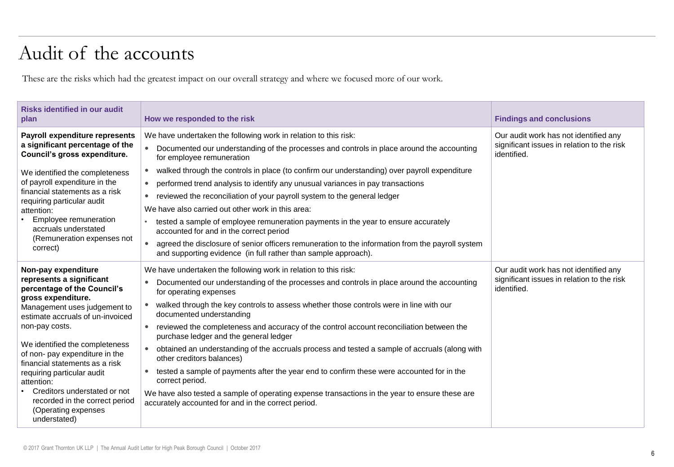These are the risks which had the greatest impact on our overall strategy and where we focused more of our work.

| <b>Risks identified in our audit</b><br>plan                                                                                                                                                                                                                                                                                                                                                                                                          | How we responded to the risk                                                                                                                                                                                                                                                                                                                                                                                                                                                                                                                                                                                                                                                                                                                                                                                                                                           | <b>Findings and conclusions</b>                                                                    |
|-------------------------------------------------------------------------------------------------------------------------------------------------------------------------------------------------------------------------------------------------------------------------------------------------------------------------------------------------------------------------------------------------------------------------------------------------------|------------------------------------------------------------------------------------------------------------------------------------------------------------------------------------------------------------------------------------------------------------------------------------------------------------------------------------------------------------------------------------------------------------------------------------------------------------------------------------------------------------------------------------------------------------------------------------------------------------------------------------------------------------------------------------------------------------------------------------------------------------------------------------------------------------------------------------------------------------------------|----------------------------------------------------------------------------------------------------|
| <b>Payroll expenditure represents</b><br>a significant percentage of the<br>Council's gross expenditure.                                                                                                                                                                                                                                                                                                                                              | We have undertaken the following work in relation to this risk:<br>Documented our understanding of the processes and controls in place around the accounting<br>for employee remuneration                                                                                                                                                                                                                                                                                                                                                                                                                                                                                                                                                                                                                                                                              | Our audit work has not identified any<br>significant issues in relation to the risk<br>identified. |
| We identified the completeness<br>of payroll expenditure in the<br>financial statements as a risk<br>requiring particular audit<br>attention:<br>Employee remuneration<br>accruals understated<br>(Remuneration expenses not<br>correct)                                                                                                                                                                                                              | walked through the controls in place (to confirm our understanding) over payroll expenditure<br>performed trend analysis to identify any unusual variances in pay transactions<br>$\bullet$<br>reviewed the reconciliation of your payroll system to the general ledger<br>$\bullet$<br>We have also carried out other work in this area:<br>tested a sample of employee remuneration payments in the year to ensure accurately<br>accounted for and in the correct period<br>agreed the disclosure of senior officers remuneration to the information from the payroll system<br>and supporting evidence (in full rather than sample approach).                                                                                                                                                                                                                       |                                                                                                    |
| Non-pay expenditure<br>represents a significant<br>percentage of the Council's<br>gross expenditure.<br>Management uses judgement to<br>estimate accruals of un-invoiced<br>non-pay costs.<br>We identified the completeness<br>of non- pay expenditure in the<br>financial statements as a risk<br>requiring particular audit<br>attention:<br>Creditors understated or not<br>recorded in the correct period<br>(Operating expenses<br>understated) | We have undertaken the following work in relation to this risk:<br>Documented our understanding of the processes and controls in place around the accounting<br>$\bullet$<br>for operating expenses<br>walked through the key controls to assess whether those controls were in line with our<br>documented understanding<br>reviewed the completeness and accuracy of the control account reconciliation between the<br>purchase ledger and the general ledger<br>obtained an understanding of the accruals process and tested a sample of accruals (along with<br>other creditors balances)<br>tested a sample of payments after the year end to confirm these were accounted for in the<br>correct period.<br>We have also tested a sample of operating expense transactions in the year to ensure these are<br>accurately accounted for and in the correct period. | Our audit work has not identified any<br>significant issues in relation to the risk<br>identified. |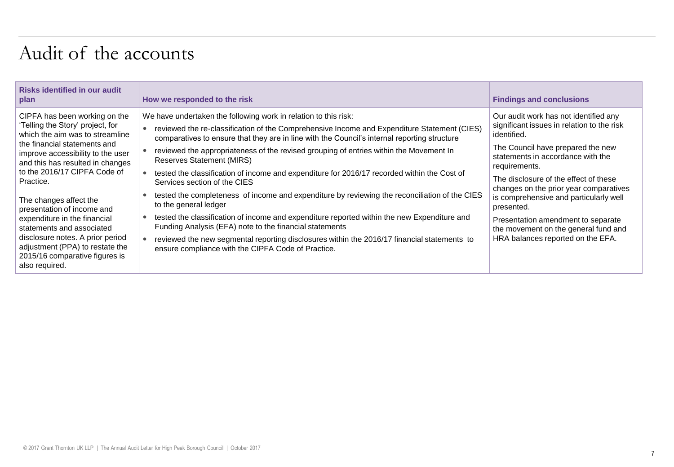| <b>Risks identified in our audit</b><br>plan                                                                                                                                                                                                               | How we responded to the risk                                                                                                                                                                                                                                                                                                                                                                                                                                                                                                | <b>Findings and conclusions</b>                                                                                                                                                                                                                                                  |
|------------------------------------------------------------------------------------------------------------------------------------------------------------------------------------------------------------------------------------------------------------|-----------------------------------------------------------------------------------------------------------------------------------------------------------------------------------------------------------------------------------------------------------------------------------------------------------------------------------------------------------------------------------------------------------------------------------------------------------------------------------------------------------------------------|----------------------------------------------------------------------------------------------------------------------------------------------------------------------------------------------------------------------------------------------------------------------------------|
| CIPFA has been working on the<br>'Telling the Story' project, for<br>which the aim was to streamline<br>the financial statements and<br>improve accessibility to the user<br>and this has resulted in changes<br>to the 2016/17 CIPFA Code of<br>Practice. | We have undertaken the following work in relation to this risk:<br>reviewed the re-classification of the Comprehensive Income and Expenditure Statement (CIES)<br>comparatives to ensure that they are in line with the Council's internal reporting structure<br>reviewed the appropriateness of the revised grouping of entries within the Movement In<br><b>Reserves Statement (MIRS)</b><br>tested the classification of income and expenditure for 2016/17 recorded within the Cost of<br>Services section of the CIES | Our audit work has not identified any<br>significant issues in relation to the risk<br>identified.<br>The Council have prepared the new<br>statements in accordance with the<br>requirements.<br>The disclosure of the effect of these<br>changes on the prior year comparatives |
| The changes affect the<br>presentation of income and<br>expenditure in the financial<br>statements and associated<br>disclosure notes. A prior period<br>adjustment (PPA) to restate the<br>2015/16 comparative figures is<br>also required.               | tested the completeness of income and expenditure by reviewing the reconciliation of the CIES<br>to the general ledger<br>tested the classification of income and expenditure reported within the new Expenditure and<br>Funding Analysis (EFA) note to the financial statements<br>reviewed the new segmental reporting disclosures within the 2016/17 financial statements to<br>ensure compliance with the CIPFA Code of Practice.                                                                                       | is comprehensive and particularly well<br>presented.<br>Presentation amendment to separate<br>the movement on the general fund and<br>HRA balances reported on the EFA.                                                                                                          |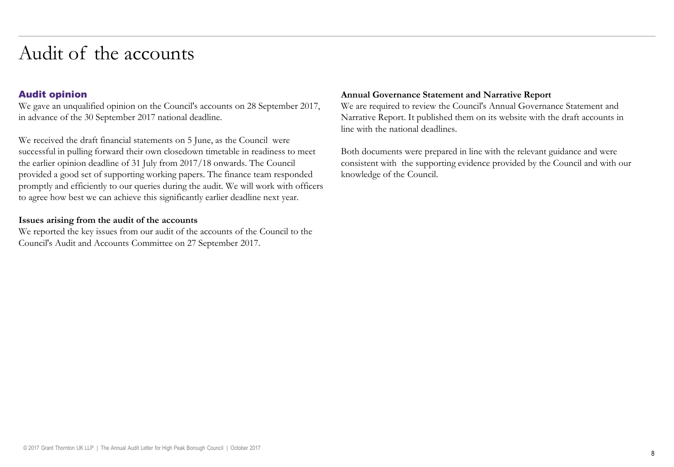## Audit opinion

We gave an unqualified opinion on the Council's accounts on 28 September 2017, in advance of the 30 September 2017 national deadline.

We received the draft financial statements on 5 June, as the Council were successful in pulling forward their own closedown timetable in readiness to meet the earlier opinion deadline of 31 July from 2017/18 onwards. The Council provided a good set of supporting working papers. The finance team responded promptly and efficiently to our queries during the audit. We will work with officers to agree how best we can achieve this significantly earlier deadline next year.

### **Issues arising from the audit of the accounts**

We reported the key issues from our audit of the accounts of the Council to the Council's Audit and Accounts Committee on 27 September 2017.

### **Annual Governance Statement and Narrative Report**

We are required to review the Council's Annual Governance Statement and Narrative Report. It published them on its website with the draft accounts in line with the national deadlines.

Both documents were prepared in line with the relevant guidance and were consistent with the supporting evidence provided by the Council and with our knowledge of the Council.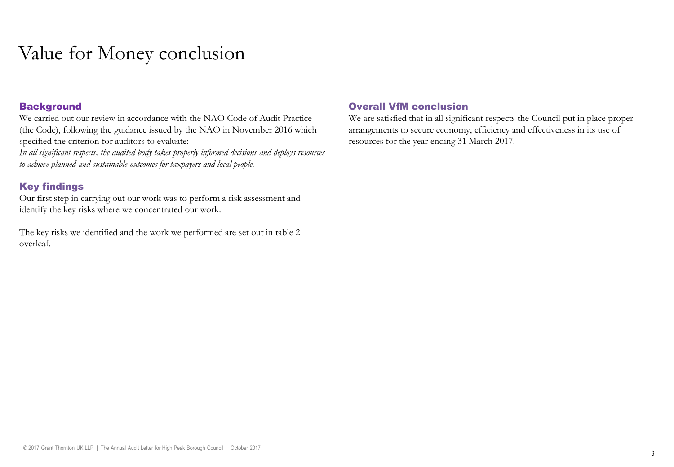## Value for Money conclusion

### **Background**

We carried out our review in accordance with the NAO Code of Audit Practice (the Code), following the guidance issued by the NAO in November 2016 which specified the criterion for auditors to evaluate:

*In all significant respects, the audited body takes properly informed decisions and deploys resources to achieve planned and sustainable outcomes for taxpayers and local people.* 

## Key findings

Our first step in carrying out our work was to perform a risk assessment and identify the key risks where we concentrated our work.

The key risks we identified and the work we performed are set out in table 2 overleaf.

### Overall VfM conclusion

We are satisfied that in all significant respects the Council put in place proper arrangements to secure economy, efficiency and effectiveness in its use of resources for the year ending 31 March 2017.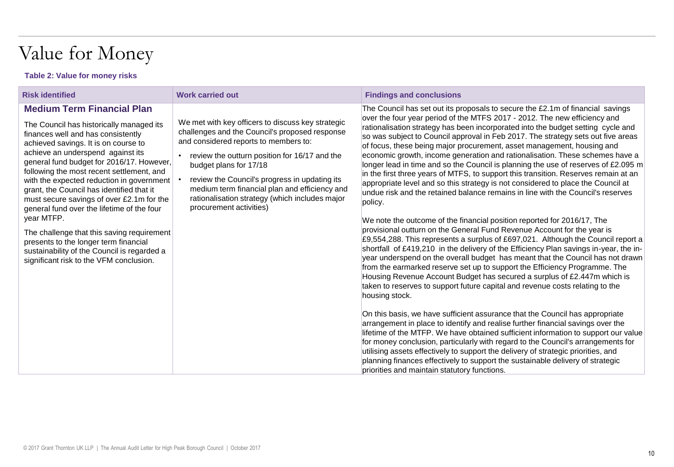## Value for Money

### **Table 2: Value for money risks**

| <b>Risk identified</b>                                                                                                                                                                                                                                                                                                                                                                                                                                                                                                                                                                                                                                                         | <b>Work carried out</b>                                                                                                                                                                                                                                                                                                                                                                                | <b>Findings and conclusions</b>                                                                                                                                                                                                                                                                                                                                                                                                                                                                                                                                                                                                                                                                                                                                                                                                                                                                                                                                                                                                                                                                                                                                                                                                                                                                                                                                                                                                                                                                                                                                                                                                                                                                                                                                                                                                                                                                                                                                                                                                                                                                                    |
|--------------------------------------------------------------------------------------------------------------------------------------------------------------------------------------------------------------------------------------------------------------------------------------------------------------------------------------------------------------------------------------------------------------------------------------------------------------------------------------------------------------------------------------------------------------------------------------------------------------------------------------------------------------------------------|--------------------------------------------------------------------------------------------------------------------------------------------------------------------------------------------------------------------------------------------------------------------------------------------------------------------------------------------------------------------------------------------------------|--------------------------------------------------------------------------------------------------------------------------------------------------------------------------------------------------------------------------------------------------------------------------------------------------------------------------------------------------------------------------------------------------------------------------------------------------------------------------------------------------------------------------------------------------------------------------------------------------------------------------------------------------------------------------------------------------------------------------------------------------------------------------------------------------------------------------------------------------------------------------------------------------------------------------------------------------------------------------------------------------------------------------------------------------------------------------------------------------------------------------------------------------------------------------------------------------------------------------------------------------------------------------------------------------------------------------------------------------------------------------------------------------------------------------------------------------------------------------------------------------------------------------------------------------------------------------------------------------------------------------------------------------------------------------------------------------------------------------------------------------------------------------------------------------------------------------------------------------------------------------------------------------------------------------------------------------------------------------------------------------------------------------------------------------------------------------------------------------------------------|
| <b>Medium Term Financial Plan</b><br>The Council has historically managed its<br>finances well and has consistently<br>achieved savings. It is on course to<br>achieve an underspend against its<br>general fund budget for 2016/17. However,<br>following the most recent settlement, and<br>with the expected reduction in government<br>grant, the Council has identified that it<br>must secure savings of over £2.1m for the<br>general fund over the lifetime of the four<br>year MTFP.<br>The challenge that this saving requirement<br>presents to the longer term financial<br>sustainability of the Council is regarded a<br>significant risk to the VFM conclusion. | We met with key officers to discuss key strategic<br>challenges and the Council's proposed response<br>and considered reports to members to:<br>review the outturn position for 16/17 and the<br>budget plans for 17/18<br>review the Council's progress in updating its<br>medium term financial plan and efficiency and<br>rationalisation strategy (which includes major<br>procurement activities) | The Council has set out its proposals to secure the £2.1m of financial savings<br>over the four year period of the MTFS 2017 - 2012. The new efficiency and<br>rationalisation strategy has been incorporated into the budget setting cycle and<br>so was subject to Council approval in Feb 2017. The strategy sets out five areas<br>of focus, these being major procurement, asset management, housing and<br>economic growth, income generation and rationalisation. These schemes have a<br>longer lead in time and so the Council is planning the use of reserves of £2.095 m<br>in the first three years of MTFS, to support this transition. Reserves remain at an<br>appropriate level and so this strategy is not considered to place the Council at<br>undue risk and the retained balance remains in line with the Council's reserves<br>policy.<br>We note the outcome of the financial position reported for 2016/17, The<br>provisional outturn on the General Fund Revenue Account for the year is<br>£9,554,288. This represents a surplus of £697,021. Although the Council report a<br>shortfall of £419,210 in the delivery of the Efficiency Plan savings in-year, the in-<br>year underspend on the overall budget has meant that the Council has not drawn<br>from the earmarked reserve set up to support the Efficiency Programme. The<br>Housing Revenue Account Budget has secured a surplus of £2.447m which is<br>taken to reserves to support future capital and revenue costs relating to the<br>housing stock.<br>On this basis, we have sufficient assurance that the Council has appropriate<br>arrangement in place to identify and realise further financial savings over the<br>lifetime of the MTFP. We have obtained sufficient information to support our value<br>for money conclusion, particularly with regard to the Council's arrangements for<br>utilising assets effectively to support the delivery of strategic priorities, and<br>planning finances effectively to support the sustainable delivery of strategic<br>priorities and maintain statutory functions. |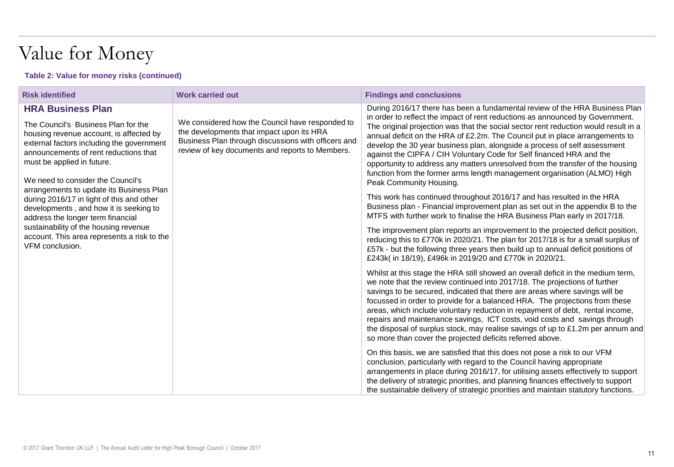## Value for Money

### **Table 2: Value for money risks (continued)**

| <b>Risk identified</b>                                                                                                                                                                                                                                                                                               | <b>Work carried out</b>                                                                                                                                                                                | <b>Findings and conclusions</b>                                                                                                                                                                                                                                                                                                                                                                                                                                                                                                                                                                                                                        |
|----------------------------------------------------------------------------------------------------------------------------------------------------------------------------------------------------------------------------------------------------------------------------------------------------------------------|--------------------------------------------------------------------------------------------------------------------------------------------------------------------------------------------------------|--------------------------------------------------------------------------------------------------------------------------------------------------------------------------------------------------------------------------------------------------------------------------------------------------------------------------------------------------------------------------------------------------------------------------------------------------------------------------------------------------------------------------------------------------------------------------------------------------------------------------------------------------------|
| <b>HRA Business Plan</b><br>The Council's Business Plan for the<br>housing revenue account, is affected by<br>external factors including the government<br>announcements of rent reductions that<br>must be applied in future.                                                                                       | We considered how the Council have responded to<br>the developments that impact upon its HRA<br>Business Plan through discussions with officers and<br>review of key documents and reports to Members. | During 2016/17 there has been a fundamental review of the HRA Business Plan<br>in order to reflect the impact of rent reductions as announced by Government.<br>The original projection was that the social sector rent reduction would result in a<br>annual deficit on the HRA of £2.2m. The Council put in place arrangements to<br>develop the 30 year business plan, alongside a process of self assessment<br>against the CIPFA / CIH Voluntary Code for Self financed HRA and the<br>opportunity to address any matters unresolved from the transfer of the housing<br>function from the former arms length management organisation (ALMO) High |
| We need to consider the Council's<br>arrangements to update its Business Plan<br>during 2016/17 in light of this and other<br>developments, and how it is seeking to<br>address the longer term financial<br>sustainability of the housing revenue<br>account. This area represents a risk to the<br>VFM conclusion. |                                                                                                                                                                                                        | Peak Community Housing.<br>This work has continued throughout 2016/17 and has resulted in the HRA<br>Business plan - Financial improvement plan as set out in the appendix B to the<br>MTFS with further work to finalise the HRA Business Plan early in 2017/18.<br>The improvement plan reports an improvement to the projected deficit position,<br>reducing this to £770k in 2020/21. The plan for 2017/18 is for a small surplus of<br>£57k - but the following three years then build up to annual deficit positions of<br>£243k(in 18/19), £496k in 2019/20 and £770k in 2020/21.                                                               |
|                                                                                                                                                                                                                                                                                                                      |                                                                                                                                                                                                        | Whilst at this stage the HRA still showed an overall deficit in the medium term,<br>we note that the review continued into 2017/18. The projections of further<br>savings to be secured, indicated that there are areas where savings will be<br>focussed in order to provide for a balanced HRA. The projections from these<br>areas, which include voluntary reduction in repayment of debt, rental income,<br>repairs and maintenance savings, ICT costs, void costs and savings through<br>the disposal of surplus stock, may realise savings of up to $£1.2m$ per annum and<br>so more than cover the projected deficits referred above.          |
|                                                                                                                                                                                                                                                                                                                      |                                                                                                                                                                                                        | On this basis, we are satisfied that this does not pose a risk to our VFM<br>conclusion, particularly with regard to the Council having appropriate<br>arrangements in place during 2016/17, for utilising assets effectively to support<br>the delivery of strategic priorities, and planning finances effectively to support<br>the sustainable delivery of strategic priorities and maintain statutory functions.                                                                                                                                                                                                                                   |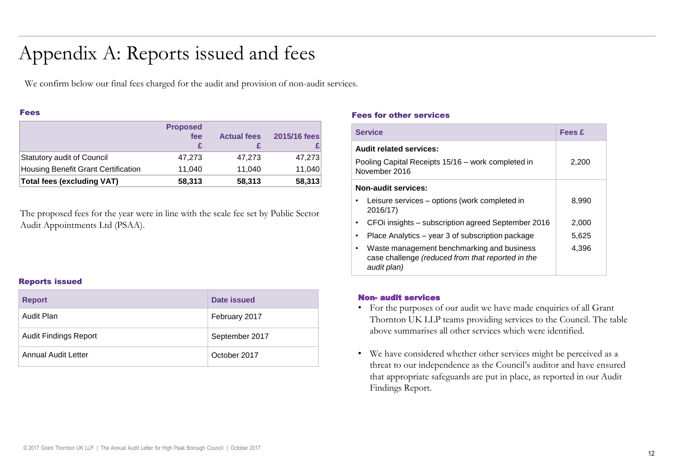## Appendix A: Reports issued and fees

We confirm below our final fees charged for the audit and provision of non-audit services.

#### Fees

|                                     | <b>Proposed</b><br>fee | <b>Actual fees</b> | 2015/16 fees |
|-------------------------------------|------------------------|--------------------|--------------|
| Statutory audit of Council          | 47,273                 | 47,273             | 47,273       |
| Housing Benefit Grant Certification | 11.040                 | 11.040             | 11,040       |
| <b>Total fees (excluding VAT)</b>   | 58,313                 | 58,313             | 58,313       |

The proposed fees for the year were in line with the scale fee set by Public Sector Audit Appointments Ltd (PSAA).

#### Reports issued

| <b>Report</b>                | Date issued    |
|------------------------------|----------------|
| Audit Plan                   | February 2017  |
| <b>Audit Findings Report</b> | September 2017 |
| Annual Audit Letter          | October 2017   |

#### Fees for other services

|                                                                     | <b>Service</b>                                                                                                 | Fees £ |
|---------------------------------------------------------------------|----------------------------------------------------------------------------------------------------------------|--------|
| <b>Audit related services:</b>                                      |                                                                                                                |        |
| Pooling Capital Receipts 15/16 – work completed in<br>November 2016 |                                                                                                                | 2.200  |
| <b>Non-audit services:</b>                                          |                                                                                                                |        |
|                                                                     | Leisure services – options (work completed in<br>2016/17)                                                      | 8,990  |
|                                                                     | CFOi insights – subscription agreed September 2016                                                             | 2.000  |
|                                                                     | Place Analytics – year 3 of subscription package                                                               | 5.625  |
|                                                                     | Waste management benchmarking and business<br>case challenge (reduced from that reported in the<br>audit plan) | 4,396  |

#### Non- audit services

- For the purposes of our audit we have made enquiries of all Grant Thornton UK LLP teams providing services to the Council. The table above summarises all other services which were identified.
- We have considered whether other services might be perceived as a threat to our independence as the Council's auditor and have ensured that appropriate safeguards are put in place, as reported in our Audit Findings Report.